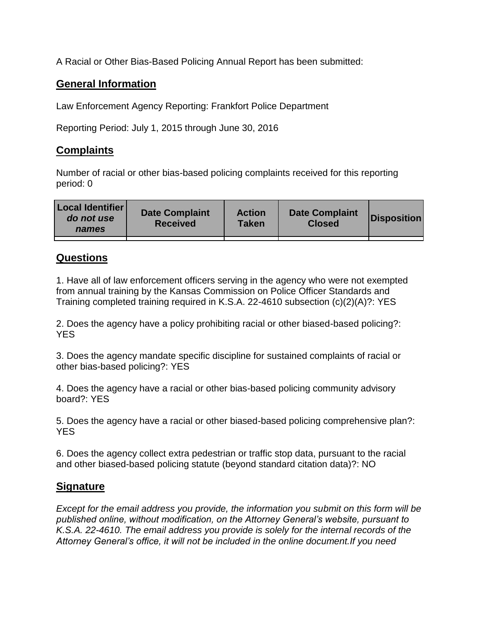A Racial or Other Bias-Based Policing Annual Report has been submitted:

## **General Information**

Law Enforcement Agency Reporting: Frankfort Police Department

Reporting Period: July 1, 2015 through June 30, 2016

## **Complaints**

Number of racial or other bias-based policing complaints received for this reporting period: 0

| <b>Local Identifier</b><br>do not use<br>names | <b>Date Complaint</b><br><b>Received</b> | <b>Action</b><br><b>Taken</b> | <b>Date Complaint</b><br><b>Closed</b> | Disposition |
|------------------------------------------------|------------------------------------------|-------------------------------|----------------------------------------|-------------|
|                                                |                                          |                               |                                        |             |

## **Questions**

1. Have all of law enforcement officers serving in the agency who were not exempted from annual training by the Kansas Commission on Police Officer Standards and Training completed training required in K.S.A. 22-4610 subsection (c)(2)(A)?: YES

2. Does the agency have a policy prohibiting racial or other biased-based policing?: YES

3. Does the agency mandate specific discipline for sustained complaints of racial or other bias-based policing?: YES

4. Does the agency have a racial or other bias-based policing community advisory board?: YES

5. Does the agency have a racial or other biased-based policing comprehensive plan?: YES

6. Does the agency collect extra pedestrian or traffic stop data, pursuant to the racial and other biased-based policing statute (beyond standard citation data)?: NO

## **Signature**

*Except for the email address you provide, the information you submit on this form will be published online, without modification, on the Attorney General's website, pursuant to K.S.A. 22-4610. The email address you provide is solely for the internal records of the Attorney General's office, it will not be included in the online document.If you need*